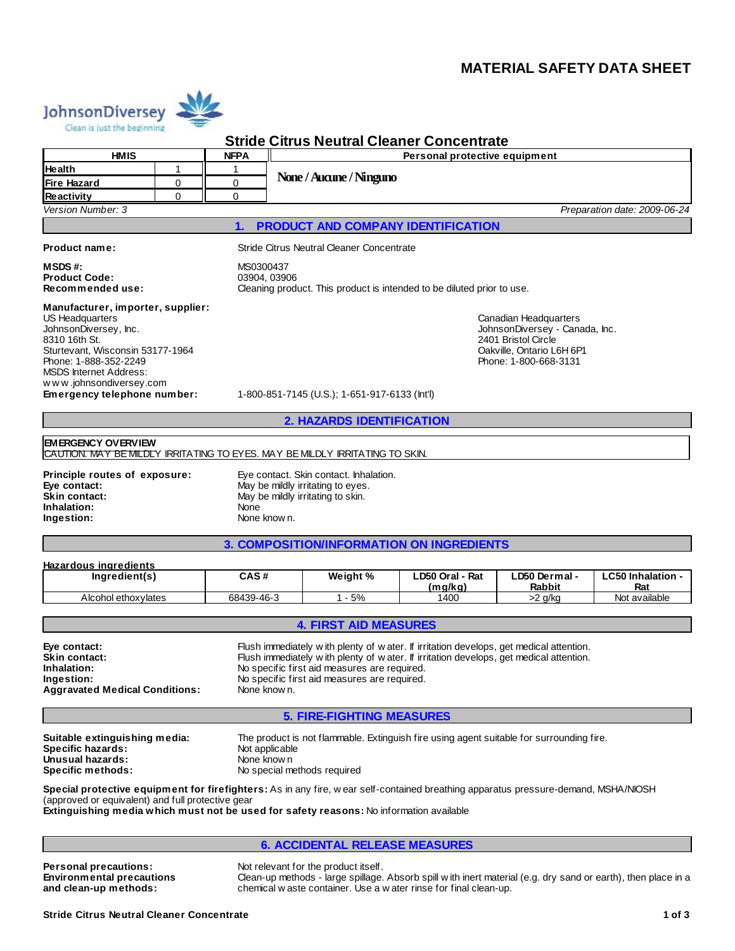# **MATERIAL SAFETY DATA SHEET**



# **Stride Citrus Neutral Cleaner Concentrate**

|                                                                                                                                                                                                                                                                                                                                                                                                         |                                  |                                                                                                                                          |                                                                                                                                                                                      | <b>Stride Citrus Neutral Cleaner Concentrate</b> |                            |                                |                                 |  |
|---------------------------------------------------------------------------------------------------------------------------------------------------------------------------------------------------------------------------------------------------------------------------------------------------------------------------------------------------------------------------------------------------------|----------------------------------|------------------------------------------------------------------------------------------------------------------------------------------|--------------------------------------------------------------------------------------------------------------------------------------------------------------------------------------|--------------------------------------------------|----------------------------|--------------------------------|---------------------------------|--|
| <b>HMIS</b>                                                                                                                                                                                                                                                                                                                                                                                             |                                  | <b>NFPA</b>                                                                                                                              | Personal protective equipment                                                                                                                                                        |                                                  |                            |                                |                                 |  |
| Health                                                                                                                                                                                                                                                                                                                                                                                                  | 1                                |                                                                                                                                          |                                                                                                                                                                                      |                                                  |                            |                                |                                 |  |
| Fire Hazard                                                                                                                                                                                                                                                                                                                                                                                             | 0                                | 0                                                                                                                                        |                                                                                                                                                                                      | None / Aucune / Ninguno                          |                            |                                |                                 |  |
| Reactivity                                                                                                                                                                                                                                                                                                                                                                                              | 0                                | 0                                                                                                                                        |                                                                                                                                                                                      |                                                  |                            |                                |                                 |  |
| Version Number: 3                                                                                                                                                                                                                                                                                                                                                                                       |                                  |                                                                                                                                          |                                                                                                                                                                                      |                                                  |                            |                                | Preparation date: 2009-06-24    |  |
|                                                                                                                                                                                                                                                                                                                                                                                                         |                                  | 1.                                                                                                                                       |                                                                                                                                                                                      | PRODUCT AND COMPANY IDENTIFICATION               |                            |                                |                                 |  |
| Stride Citrus Neutral Cleaner Concentrate<br><b>Product name:</b>                                                                                                                                                                                                                                                                                                                                       |                                  |                                                                                                                                          |                                                                                                                                                                                      |                                                  |                            |                                |                                 |  |
| MSDS #:<br><b>Product Code:</b><br>Recommended use:                                                                                                                                                                                                                                                                                                                                                     |                                  | MS0300437<br>03904, 03906<br>Cleaning product. This product is intended to be diluted prior to use.                                      |                                                                                                                                                                                      |                                                  |                            |                                |                                 |  |
| Manufacturer, importer, supplier:<br><b>US Headquarters</b><br>JohnsonDiversey, Inc.<br>8310 16th St.<br>Sturtevant, Wisconsin 53177-1964<br>Phone: 1-888-352-2249<br><b>MSDS Internet Address:</b><br>www.johnsondiversey.com<br>Emergency telephone number:                                                                                                                                           |                                  |                                                                                                                                          | Canadian Headquarters<br>JohnsonDiversey - Canada, Inc.<br>2401 Bristol Circle<br>Oakville, Ontario L6H 6P1<br>Phone: 1-800-668-3131<br>1-800-851-7145 (U.S.); 1-651-917-6133 (lntl) |                                                  |                            |                                |                                 |  |
|                                                                                                                                                                                                                                                                                                                                                                                                         |                                  |                                                                                                                                          |                                                                                                                                                                                      | 2. HAZARDS IDENTIFICATION                        |                            |                                |                                 |  |
|                                                                                                                                                                                                                                                                                                                                                                                                         |                                  |                                                                                                                                          |                                                                                                                                                                                      |                                                  |                            |                                |                                 |  |
| <b>EMERGENCY OVERVIEW</b><br>CAUTION. MAY BE MILDLY IRRITATING TO EYES. MAY BE MILDLY IRRITATING TO SKIN.                                                                                                                                                                                                                                                                                               |                                  |                                                                                                                                          |                                                                                                                                                                                      |                                                  |                            |                                |                                 |  |
| Principle routes of exposure:<br>Eye contact:<br><b>Skin contact:</b><br>Inhalation:<br>Ingestion:                                                                                                                                                                                                                                                                                                      |                                  | Eye contact. Skin contact. Inhalation.<br>May be mildly irritating to eyes.<br>May be mildly irritating to skin.<br>None<br>None know n. |                                                                                                                                                                                      |                                                  |                            |                                |                                 |  |
|                                                                                                                                                                                                                                                                                                                                                                                                         |                                  |                                                                                                                                          |                                                                                                                                                                                      | 3. COMPOSITION/INFORMATION ON INGREDIENTS        |                            |                                |                                 |  |
|                                                                                                                                                                                                                                                                                                                                                                                                         |                                  |                                                                                                                                          |                                                                                                                                                                                      |                                                  |                            |                                |                                 |  |
| <b>Hazardous ingredients</b><br>Ingredient(s)                                                                                                                                                                                                                                                                                                                                                           |                                  | CAS#                                                                                                                                     |                                                                                                                                                                                      | Weight %                                         | LD50 Oral - Rat<br>(mq/kg) | LD50 Dermal -<br><b>Rabbit</b> | <b>LC50 Inhalation -</b><br>Rat |  |
| Alcohol ethoxylates                                                                                                                                                                                                                                                                                                                                                                                     |                                  | 68439-46-3                                                                                                                               |                                                                                                                                                                                      | $1 - 5%$                                         | 1400                       | $>2$ g/kg                      | Not available                   |  |
|                                                                                                                                                                                                                                                                                                                                                                                                         |                                  |                                                                                                                                          |                                                                                                                                                                                      |                                                  |                            |                                |                                 |  |
|                                                                                                                                                                                                                                                                                                                                                                                                         |                                  |                                                                                                                                          |                                                                                                                                                                                      | <b>4. FIRST AID MEASURES</b>                     |                            |                                |                                 |  |
| Flush immediately with plenty of water. If irritation develops, get medical attention.<br>Eye contact:<br>Skin contact:<br>Flush immediately with plenty of water. If irritation develops, get medical attention.<br>No specific first aid measures are required.<br>Inhalation:<br>Ingestion:<br>No specific first aid measures are required.<br><b>Aggravated Medical Conditions:</b><br>None know n. |                                  |                                                                                                                                          |                                                                                                                                                                                      |                                                  |                            |                                |                                 |  |
|                                                                                                                                                                                                                                                                                                                                                                                                         | <b>5. FIRE-FIGHTING MEASURES</b> |                                                                                                                                          |                                                                                                                                                                                      |                                                  |                            |                                |                                 |  |
| The product is not flammable. Extinguish fire using agent suitable for surrounding fire.<br>Suitable extinguishing media:<br>Specific hazards:<br>Not applicable<br>Unusual hazards:<br>None know n<br>Specific methods:<br>No special methods required                                                                                                                                                 |                                  |                                                                                                                                          |                                                                                                                                                                                      |                                                  |                            |                                |                                 |  |
| Special protective equipment for firefighters: As in any fire, wear self-contained breathing apparatus pressure-demand, MSHA/NIOSH<br>(approved or equivalent) and full protective gear<br>Extinguishing media which must not be used for safety reasons: No information available                                                                                                                      |                                  |                                                                                                                                          |                                                                                                                                                                                      |                                                  |                            |                                |                                 |  |

# **6. ACCIDENTAL RELEASE MEASURES**

**Personal precautions:** Not relevant for the product itself. **Environmental precautions and clean-up methods:**

Clean-up methods - large spillage. Absorb spill w ith inert material (e.g. dry sand or earth), then place in a chemical w aste container. Use a w ater rinse for final clean-up.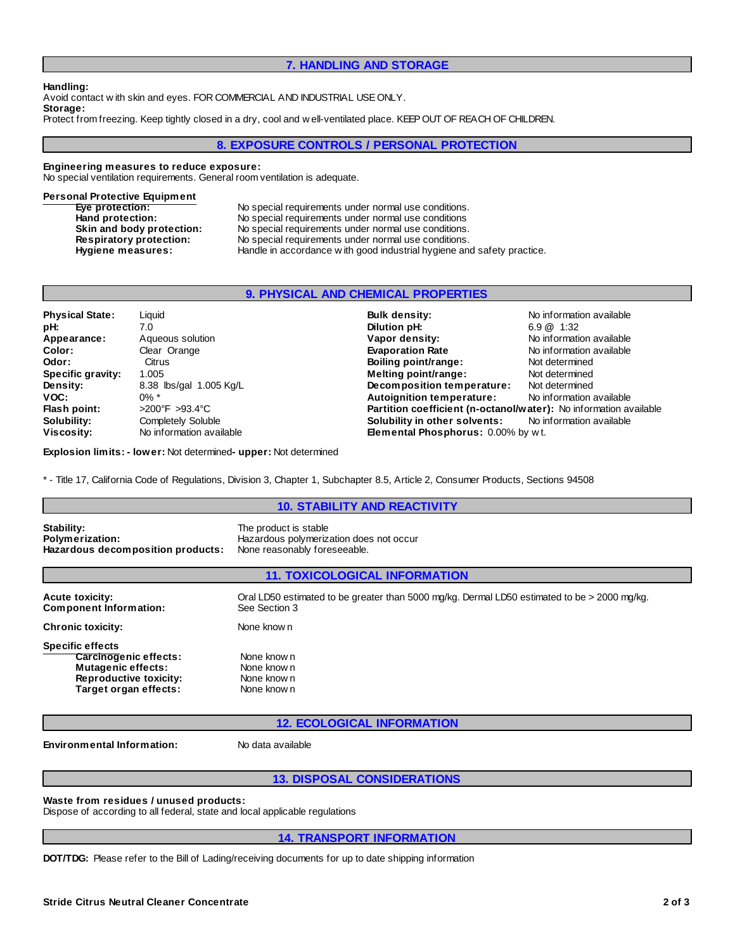## **7. HANDLING AND STORAGE**

**Handling:**

Avoid contact w ith skin and eyes. FOR COMMERCIAL AND INDUSTRIAL USEONLY. **Storage:**

Protect from freezing. Keep tightly closed in a dry, cool and w ell-ventilated place. KEEPOUT OF REACH OF CHILDREN.

# **8. EXPOSURE CONTROLS / PERSONAL PROTECTION**

#### **Engineering measures to reduce exposure:**

No special ventilation requirements. General room ventilation is adequate.

### **Personal Protective Equipment**

| Eve protection:           | No special requirements under normal use conditions.                   |
|---------------------------|------------------------------------------------------------------------|
| Hand protection:          | No special requirements under normal use conditions                    |
| Skin and body protection: | No special requirements under normal use conditions.                   |
| Respiratory protection:   | No special requirements under normal use conditions.                   |
| Hygiene measures:         | Handle in accordance with good industrial hygiene and safety practice. |

## **9. PHYSICAL AND CHEMICAL PROPERTIES**

| <b>Physical State:</b> | Liquid                             | <b>Bulk density:</b>                                              | No information available |  |
|------------------------|------------------------------------|-------------------------------------------------------------------|--------------------------|--|
| pH:                    | 7.0                                | Dilution pH:                                                      | $6.9 \ @ \ 1:32$         |  |
| Appearance:            | Aqueous solution                   | Vapor density:                                                    | No information available |  |
| Color:                 | Clear Orange                       | <b>Evaporation Rate</b>                                           | No information available |  |
| Odor:                  | Citrus                             | Boiling point/range:                                              | Not determined           |  |
| Specific gravity:      | 1.005                              | Melting point/range:                                              | Not determined           |  |
| <b>Density:</b>        | 8.38 lbs/gal 1.005 Kg/L            | Decomposition temperature:                                        | Not determined           |  |
| VOC:                   | $0\%$ *                            | Autoignition temperature:                                         | No information available |  |
| Flash point:           | $>200^{\circ}$ F $>93.4^{\circ}$ C | Partition coefficient (n-octanol/water): No information available |                          |  |
| Solubility:            | <b>Completely Soluble</b>          | Solubility in other solvents:                                     | No information available |  |
| Viscosity:             | No information available           | <b>Elemental Phosphorus: 0.00% by wt.</b>                         |                          |  |

**Explosion limits: - lower:** Not determined**- upper:** Not determined

\* - Title 17, California Code of Regulations, Division 3, Chapter 1, Subchapter 8.5, Article 2, Consumer Products, Sections 94508

# **10. STABILITY AND REACTIVITY Stability:**<br> **Polymerization:**<br> **Polymerization:**<br> **Polymerization:** Hazardous polymerization does not occur<br>None reasonably foreseeable. **Hazardous decomposition products: 11. TOXICOLOGICAL INFORMATION Acute toxicity:** Oral LD50 estimated to be greater than 5000 mg/kg. Dermal LD50 estimated to be > 2000 mg/kg. Component Information: See Section 3 **Component Information: Chronic toxicity:** None know n **Specific effects Carcinogenic effects:** None know n<br> **Mutagenic effects:** None know n **Mutagenic effects:** None know n<br> **Reproductive toxicity:** None know n **Reproductive toxicity: Target organ effects:** None know n **12. ECOLOGICAL INFORMATION Environmental Information:** No data available

**13. DISPOSAL CONSIDERATIONS**

## **Waste from residues / unused products:**

Dispose of according to all federal, state and local applicable regulations

## **14. TRANSPORT INFORMATION**

**DOT/TDG:** Please refer to the Bill of Lading/receiving documents for up to date shipping information